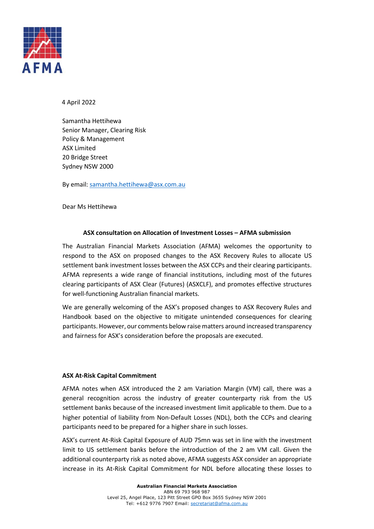

4 April 2022

Samantha Hettihewa Senior Manager, Clearing Risk Policy & Management ASX Limited 20 Bridge Street Sydney NSW 2000

By email[: samantha.hettihewa@asx.com.au](mailto:samantha.hettihewa@asx.com.au) 

Dear Ms Hettihewa

# **ASX consultation on Allocation of Investment Losses – AFMA submission**

The Australian Financial Markets Association (AFMA) welcomes the opportunity to respond to the ASX on proposed changes to the ASX Recovery Rules to allocate US settlement bank investment losses between the ASX CCPs and their clearing participants. AFMA represents a wide range of financial institutions, including most of the futures clearing participants of ASX Clear (Futures) (ASXCLF), and promotes effective structures for well-functioning Australian financial markets.

We are generally welcoming of the ASX's proposed changes to ASX Recovery Rules and Handbook based on the objective to mitigate unintended consequences for clearing participants. However, our comments below raise matters around increased transparency and fairness for ASX's consideration before the proposals are executed.

#### **ASX At-Risk Capital Commitment**

AFMA notes when ASX introduced the 2 am Variation Margin (VM) call, there was a general recognition across the industry of greater counterparty risk from the US settlement banks because of the increased investment limit applicable to them. Due to a higher potential of liability from Non-Default Losses (NDL), both the CCPs and clearing participants need to be prepared for a higher share in such losses.

ASX's current At-Risk Capital Exposure of AUD 75mn was set in line with the investment limit to US settlement banks before the introduction of the 2 am VM call. Given the additional counterparty risk as noted above, AFMA suggests ASX consider an appropriate increase in its At-Risk Capital Commitment for NDL before allocating these losses to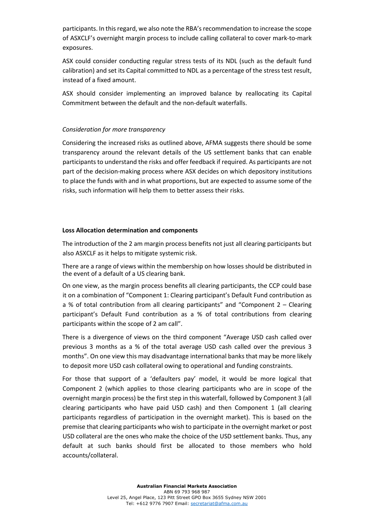participants. In this regard, we also note the RBA's recommendation to increase the scope of ASXCLF's overnight margin process to include calling collateral to cover mark-to-mark exposures.

ASX could consider conducting regular stress tests of its NDL (such as the default fund calibration) and set its Capital committed to NDL as a percentage of the stress test result, instead of a fixed amount.

ASX should consider implementing an improved balance by reallocating its Capital Commitment between the default and the non-default waterfalls.

### *Consideration for more transparency*

Considering the increased risks as outlined above, AFMA suggests there should be some transparency around the relevant details of the US settlement banks that can enable participants to understand the risks and offer feedback if required. As participants are not part of the decision-making process where ASX decides on which depository institutions to place the funds with and in what proportions, but are expected to assume some of the risks, such information will help them to better assess their risks.

#### **Loss Allocation determination and components**

The introduction of the 2 am margin process benefits not just all clearing participants but also ASXCLF as it helps to mitigate systemic risk.

There are a range of views within the membership on how losses should be distributed in the event of a default of a US clearing bank.

On one view, as the margin process benefits all clearing participants, the CCP could base it on a combination of "Component 1: Clearing participant's Default Fund contribution as a % of total contribution from all clearing participants" and "Component 2 – Clearing participant's Default Fund contribution as a % of total contributions from clearing participants within the scope of 2 am call".

There is a divergence of views on the third component "Average USD cash called over previous 3 months as a % of the total average USD cash called over the previous 3 months". On one view this may disadvantage international banks that may be more likely to deposit more USD cash collateral owing to operational and funding constraints.

For those that support of a 'defaulters pay' model, it would be more logical that Component 2 (which applies to those clearing participants who are in scope of the overnight margin process) be the first step in this waterfall, followed by Component 3 (all clearing participants who have paid USD cash) and then Component 1 (all clearing participants regardless of participation in the overnight market). This is based on the premise that clearing participants who wish to participate in the overnight market or post USD collateral are the ones who make the choice of the USD settlement banks. Thus, any default at such banks should first be allocated to those members who hold accounts/collateral.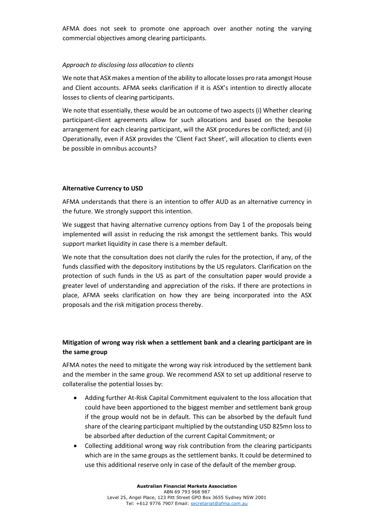AFMA does not seek to promote one approach over another noting the varying commercial objectives among clearing participants.

### *Approach to disclosing loss allocation to clients*

We note that ASX makes a mention of the ability to allocate losses pro rata amongst House and Client accounts. AFMA seeks clarification if it is ASX's intention to directly allocate losses to clients of clearing participants.

We note that essentially, these would be an outcome of two aspects (i) Whether clearing participant-client agreements allow for such allocations and based on the bespoke arrangement for each clearing participant, will the ASX procedures be conflicted; and (ii) Operationally, even if ASX provides the 'Client Fact Sheet', will allocation to clients even be possible in omnibus accounts?

# **Alternative Currency to USD**

AFMA understands that there is an intention to offer AUD as an alternative currency in the future. We strongly support this intention.

We suggest that having alternative currency options from Day 1 of the proposals being implemented will assist in reducing the risk amongst the settlement banks. This would support market liquidity in case there is a member default.

We note that the consultation does not clarify the rules for the protection, if any, of the funds classified with the depository institutions by the US regulators. Clarification on the protection of such funds in the US as part of the consultation paper would provide a greater level of understanding and appreciation of the risks. If there are protections in place, AFMA seeks clarification on how they are being incorporated into the ASX proposals and the risk mitigation process thereby.

# **Mitigation of wrong way risk when a settlement bank and a clearing participant are in the same group**

AFMA notes the need to mitigate the wrong way risk introduced by the settlement bank and the member in the same group. We recommend ASX to set up additional reserve to collateralise the potential losses by:

- Adding further At-Risk Capital Commitment equivalent to the loss allocation that could have been apportioned to the biggest member and settlement bank group if the group would not be in default. This can be absorbed by the default fund share of the clearing participant multiplied by the outstanding USD 825mn loss to be absorbed after deduction of the current Capital Commitment; or
- Collecting additional wrong way risk contribution from the clearing participants which are in the same groups as the settlement banks. It could be determined to use this additional reserve only in case of the default of the member group.